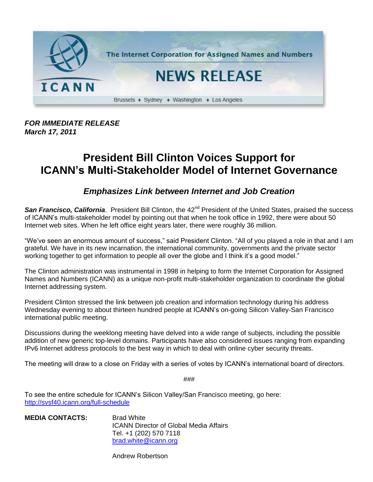

*FOR IMMEDIATE RELEASE March 17, 2011*

## **President Bill Clinton Voices Support for ICANN's Multi-Stakeholder Model of Internet Governance**

## *Emphasizes Link between Internet and Job Creation*

**San Francisco, California**. President Bill Clinton, the 42<sup>nd</sup> President of the United States, praised the success of ICANN's multi-stakeholder model by pointing out that when he took office in 1992, there were about 50 Internet web sites. When he left office eight years later, there were roughly 36 million.

"We've seen an enormous amount of success," said President Clinton. "All of you played a role in that and I am grateful. We have in its new incarnation, the international community, governments and the private sector working together to get information to people all over the globe and I think it's a good model."

The Clinton administration was instrumental in 1998 in helping to form the Internet Corporation for Assigned Names and Numbers (ICANN) as a unique non-profit multi-stakeholder organization to coordinate the global Internet addressing system.

President Clinton stressed the link between job creation and information technology during his address Wednesday evening to about thirteen hundred people at ICANN's on-going Silicon Valley-San Francisco international public meeting.

Discussions during the weeklong meeting have delved into a wide range of subjects, including the possible addition of new generic top-level domains. Participants have also considered issues ranging from expanding IPv6 Internet address protocols to the best way in which to deal with online cyber security threats.

The meeting will draw to a close on Friday with a series of votes by ICANN's international board of directors.

###

To see the entire schedule for ICANN's Silicon Valley/San Francisco meeting, go here: <http://svsf40.icann.org/full-schedule>

| <b>MEDIA CONTACTS:</b> | <b>Brad White</b>                             |
|------------------------|-----------------------------------------------|
|                        | <b>ICANN Director of Global Media Affairs</b> |
|                        | Tel. +1 (202) 570 7118                        |
|                        | brad.white@icann.org                          |

Andrew Robertson